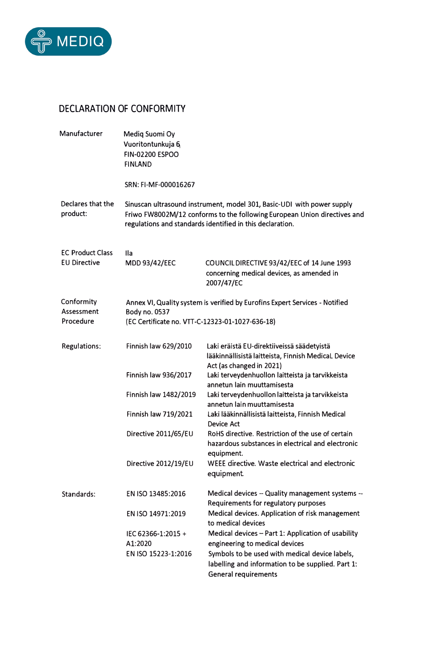

## **DECLARATION OF CONFORMITY**

| Manufacturer                                   | Mediq Suomi Oy<br>Vuoritontunkuja 6<br><b>FIN-02200 ESPOO</b><br><b>FINLAND</b>                                                                                                                                 |                                                                                                                                    |
|------------------------------------------------|-----------------------------------------------------------------------------------------------------------------------------------------------------------------------------------------------------------------|------------------------------------------------------------------------------------------------------------------------------------|
|                                                | SRN: FI-MF-000016267                                                                                                                                                                                            |                                                                                                                                    |
| Declares that the<br>product:                  | Sinuscan ultrasound instrument, model 301, Basic-UDI with power supply<br>Friwo FW8002M/12 conforms to the following European Union directives and<br>regulations and standards identified in this declaration. |                                                                                                                                    |
| <b>EC Product Class</b><br><b>EU Directive</b> | lla.<br><b>MDD 93/42/EEC</b>                                                                                                                                                                                    | COUNCIL DIRECTIVE 93/42/EEC of 14 June 1993<br>concerning medical devices, as amended in<br>2007/47/EC                             |
| Conformity<br>Assessment                       | Annex VI, Quality system is verified by Eurofins Expert Services - Notified<br><b>Body no. 0537</b>                                                                                                             |                                                                                                                                    |
| Procedure                                      | (EC Certificate no. VTT-C-12323-01-1027-636-18)                                                                                                                                                                 |                                                                                                                                    |
| Regulations:                                   | Finnish law 629/2010                                                                                                                                                                                            | Laki eräistä EU-direktiiveissä säädetyistä<br>lääkinnällisistä laitteista, Finnish MedicaL Device<br>Act (as changed in 2021)      |
|                                                | Finnish law 936/2017                                                                                                                                                                                            | Laki terveydenhuollon laitteista ja tarvikkeista<br>annetun lain muuttamisesta                                                     |
|                                                | Finnish law 1482/2019                                                                                                                                                                                           | Laki terveydenhuollon laitteista ja tarvikkeista<br>annetun lain muuttamisesta                                                     |
|                                                | Finnish law 719/2021                                                                                                                                                                                            | Laki lääkinnällisistä laitteista, Finnish Medical<br>Device Act                                                                    |
|                                                | Directive 2011/65/EU                                                                                                                                                                                            | RoHS directive. Restriction of the use of certain<br>hazardous substances in electrical and electronic<br>equipment.               |
|                                                | Directive 2012/19/EU                                                                                                                                                                                            | WEEE directive. Waste electrical and electronic<br>equipment.                                                                      |
| Standards:                                     | EN ISO 13485:2016                                                                                                                                                                                               | Medical devices -- Quality management systems --<br>Requirements for regulatory purposes                                           |
|                                                | EN ISO 14971:2019                                                                                                                                                                                               | Medical devices. Application of risk management<br>to medical devices                                                              |
|                                                | IEC 62366-1:2015 +                                                                                                                                                                                              | Medical devices - Part 1: Application of usability                                                                                 |
|                                                | A1:2020                                                                                                                                                                                                         | engineering to medical devices                                                                                                     |
|                                                | EN ISO 15223-1:2016                                                                                                                                                                                             | Symbols to be used with medical device labels,<br>labelling and information to be supplied. Part 1:<br><b>General requirements</b> |